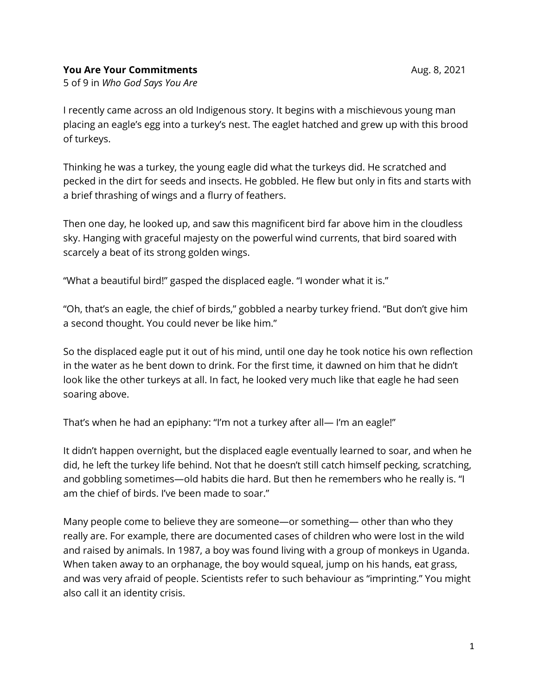## **You Are Your Commitments** Aug. 8, 2021

5 of 9 in *Who God Says You Are*

I recently came across an old Indigenous story. It begins with a mischievous young man placing an eagle's egg into a turkey's nest. The eaglet hatched and grew up with this brood of turkeys.

Thinking he was a turkey, the young eagle did what the turkeys did. He scratched and pecked in the dirt for seeds and insects. He gobbled. He flew but only in fits and starts with a brief thrashing of wings and a flurry of feathers.

Then one day, he looked up, and saw this magnificent bird far above him in the cloudless sky. Hanging with graceful majesty on the powerful wind currents, that bird soared with scarcely a beat of its strong golden wings.

"What a beautiful bird!" gasped the displaced eagle. "I wonder what it is."

"Oh, that's an eagle, the chief of birds," gobbled a nearby turkey friend. "But don't give him a second thought. You could never be like him."

So the displaced eagle put it out of his mind, until one day he took notice his own reflection in the water as he bent down to drink. For the first time, it dawned on him that he didn't look like the other turkeys at all. In fact, he looked very much like that eagle he had seen soaring above.

That's when he had an epiphany: "I'm not a turkey after all— I'm an eagle!"

It didn't happen overnight, but the displaced eagle eventually learned to soar, and when he did, he left the turkey life behind. Not that he doesn't still catch himself pecking, scratching, and gobbling sometimes—old habits die hard. But then he remembers who he really is. "I am the chief of birds. I've been made to soar."

Many people come to believe they are someone—or something— other than who they really are. For example, there are documented cases of children who were lost in the wild and raised by animals. In 1987, a boy was found living with a group of monkeys in Uganda. When taken away to an orphanage, the boy would squeal, jump on his hands, eat grass, and was very afraid of people. Scientists refer to such behaviour as "imprinting." You might also call it an identity crisis.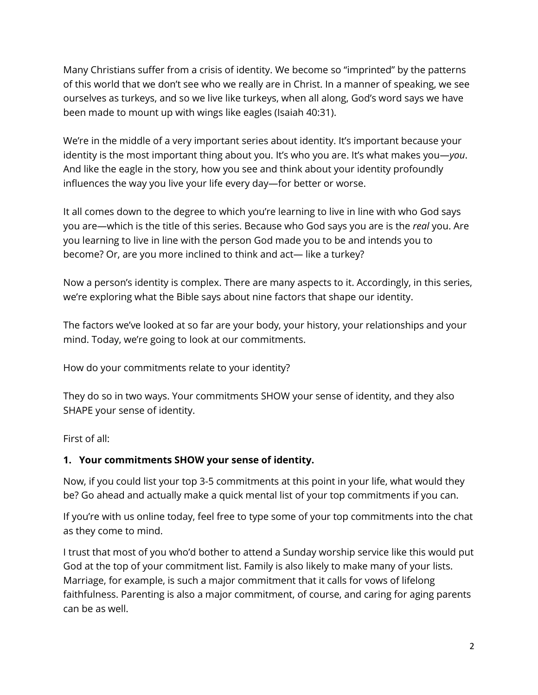Many Christians suffer from a crisis of identity. We become so "imprinted" by the patterns of this world that we don't see who we really are in Christ. In a manner of speaking, we see ourselves as turkeys, and so we live like turkeys, when all along, God's word says we have been made to mount up with wings like eagles (Isaiah 40:31).

We're in the middle of a very important series about identity. It's important because your identity is the most important thing about you. It's who you are. It's what makes you—*you*. And like the eagle in the story, how you see and think about your identity profoundly influences the way you live your life every day—for better or worse.

It all comes down to the degree to which you're learning to live in line with who God says you are—which is the title of this series. Because who God says you are is the *real* you. Are you learning to live in line with the person God made you to be and intends you to become? Or, are you more inclined to think and act— like a turkey?

Now a person's identity is complex. There are many aspects to it. Accordingly, in this series, we're exploring what the Bible says about nine factors that shape our identity.

The factors we've looked at so far are your body, your history, your relationships and your mind. Today, we're going to look at our commitments.

How do your commitments relate to your identity?

They do so in two ways. Your commitments SHOW your sense of identity, and they also SHAPE your sense of identity.

First of all:

## **1. Your commitments SHOW your sense of identity.**

Now, if you could list your top 3-5 commitments at this point in your life, what would they be? Go ahead and actually make a quick mental list of your top commitments if you can.

If you're with us online today, feel free to type some of your top commitments into the chat as they come to mind.

I trust that most of you who'd bother to attend a Sunday worship service like this would put God at the top of your commitment list. Family is also likely to make many of your lists. Marriage, for example, is such a major commitment that it calls for vows of lifelong faithfulness. Parenting is also a major commitment, of course, and caring for aging parents can be as well.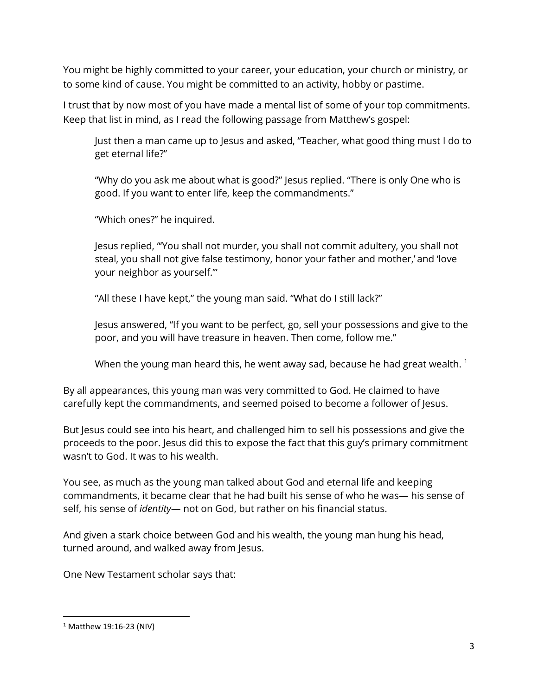You might be highly committed to your career, your education, your church or ministry, or to some kind of cause. You might be committed to an activity, hobby or pastime.

I trust that by now most of you have made a mental list of some of your top commitments. Keep that list in mind, as I read the following passage from Matthew's gospel:

Just then a man came up to Jesus and asked, "Teacher, what good thing must I do to get eternal life?"

"Why do you ask me about what is good?" Jesus replied. "There is only One who is good. If you want to enter life, keep the commandments."

"Which ones?" he inquired.

Jesus replied, "'You shall not murder, you shall not commit adultery, you shall not steal, you shall not give false testimony, honor your father and mother,' and 'love your neighbor as yourself.'"

"All these I have kept," the young man said. "What do I still lack?"

Jesus answered, "If you want to be perfect, go, sell your possessions and give to the poor, and you will have treasure in heaven. Then come, follow me."

When the young man heard this, he went away sad, because he had great wealth.  $1$ 

By all appearances, this young man was very committed to God. He claimed to have carefully kept the commandments, and seemed poised to become a follower of Jesus.

But Jesus could see into his heart, and challenged him to sell his possessions and give the proceeds to the poor. Jesus did this to expose the fact that this guy's primary commitment wasn't to God. It was to his wealth.

You see, as much as the young man talked about God and eternal life and keeping commandments, it became clear that he had built his sense of who he was— his sense of self, his sense of *identity*— not on God, but rather on his financial status.

And given a stark choice between God and his wealth, the young man hung his head, turned around, and walked away from Jesus.

One New Testament scholar says that:

<sup>1</sup> Matthew 19:16-23 (NIV)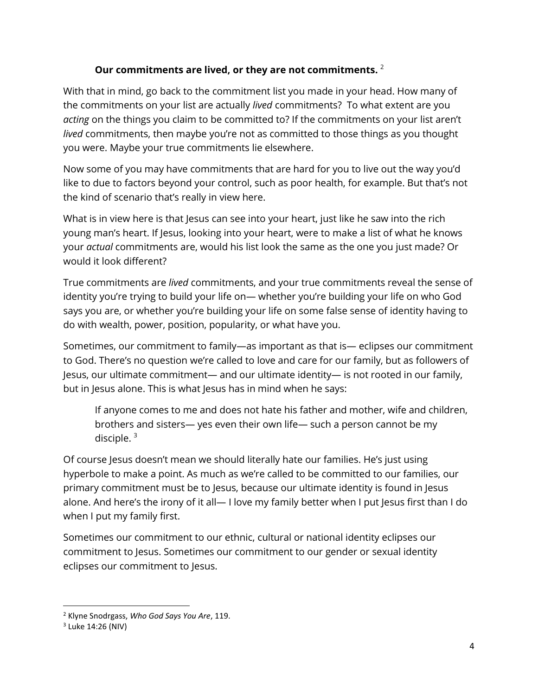## **Our commitments are lived, or they are not commitments.** <sup>2</sup>

With that in mind, go back to the commitment list you made in your head. How many of the commitments on your list are actually *lived* commitments? To what extent are you *acting* on the things you claim to be committed to? If the commitments on your list aren't *lived* commitments, then maybe you're not as committed to those things as you thought you were. Maybe your true commitments lie elsewhere.

Now some of you may have commitments that are hard for you to live out the way you'd like to due to factors beyond your control, such as poor health, for example. But that's not the kind of scenario that's really in view here.

What is in view here is that Jesus can see into your heart, just like he saw into the rich young man's heart. If Jesus, looking into your heart, were to make a list of what he knows your *actual* commitments are, would his list look the same as the one you just made? Or would it look different?

True commitments are *lived* commitments, and your true commitments reveal the sense of identity you're trying to build your life on— whether you're building your life on who God says you are, or whether you're building your life on some false sense of identity having to do with wealth, power, position, popularity, or what have you.

Sometimes, our commitment to family—as important as that is— eclipses our commitment to God. There's no question we're called to love and care for our family, but as followers of Jesus, our ultimate commitment— and our ultimate identity— is not rooted in our family, but in Jesus alone. This is what Jesus has in mind when he says:

If anyone comes to me and does not hate his father and mother, wife and children, brothers and sisters— yes even their own life— such a person cannot be my disciple. $3$ 

Of course Jesus doesn't mean we should literally hate our families. He's just using hyperbole to make a point. As much as we're called to be committed to our families, our primary commitment must be to Jesus, because our ultimate identity is found in Jesus alone. And here's the irony of it all— I love my family better when I put Jesus first than I do when I put my family first.

Sometimes our commitment to our ethnic, cultural or national identity eclipses our commitment to Jesus. Sometimes our commitment to our gender or sexual identity eclipses our commitment to Jesus.

l

<sup>2</sup> Klyne Snodrgass, *Who God Says You Are*, 119.

<sup>&</sup>lt;sup>3</sup> Luke 14:26 (NIV)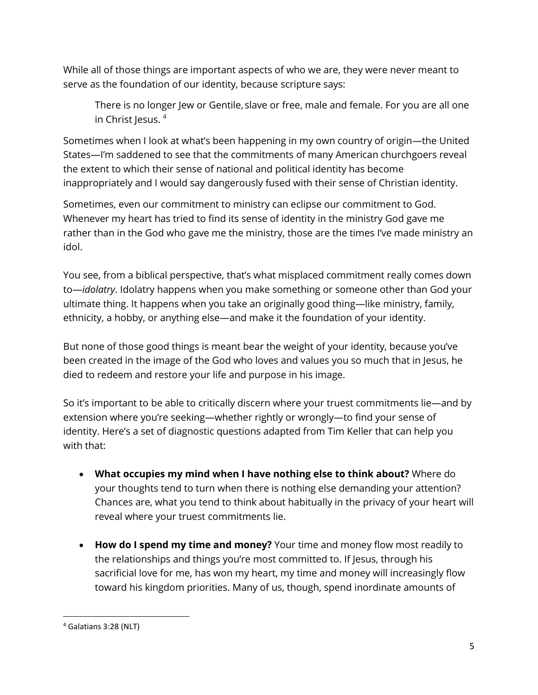While all of those things are important aspects of who we are, they were never meant to serve as the foundation of our identity, because scripture says:

There is no longer Jew or Gentile, slave or free, male and female. For you are all one in Christ Jesus.  $4$ 

Sometimes when I look at what's been happening in my own country of origin—the United States—I'm saddened to see that the commitments of many American churchgoers reveal the extent to which their sense of national and political identity has become inappropriately and I would say dangerously fused with their sense of Christian identity.

Sometimes, even our commitment to ministry can eclipse our commitment to God. Whenever my heart has tried to find its sense of identity in the ministry God gave me rather than in the God who gave me the ministry, those are the times I've made ministry an idol.

You see, from a biblical perspective, that's what misplaced commitment really comes down to—*idolatry*. Idolatry happens when you make something or someone other than God your ultimate thing. It happens when you take an originally good thing—like ministry, family, ethnicity, a hobby, or anything else—and make it the foundation of your identity.

But none of those good things is meant bear the weight of your identity, because you've been created in the image of the God who loves and values you so much that in Jesus, he died to redeem and restore your life and purpose in his image.

So it's important to be able to critically discern where your truest commitments lie—and by extension where you're seeking—whether rightly or wrongly—to find your sense of identity. Here's a set of diagnostic questions adapted from Tim Keller that can help you with that:

- **What occupies my mind when I have nothing else to think about?** Where do your thoughts tend to turn when there is nothing else demanding your attention? Chances are, what you tend to think about habitually in the privacy of your heart will reveal where your truest commitments lie.
- **How do I spend my time and money?** Your time and money flow most readily to the relationships and things you're most committed to. If Jesus, through his sacrificial love for me, has won my heart, my time and money will increasingly flow toward his kingdom priorities. Many of us, though, spend inordinate amounts of

<sup>4</sup> Galatians 3:28 (NLT)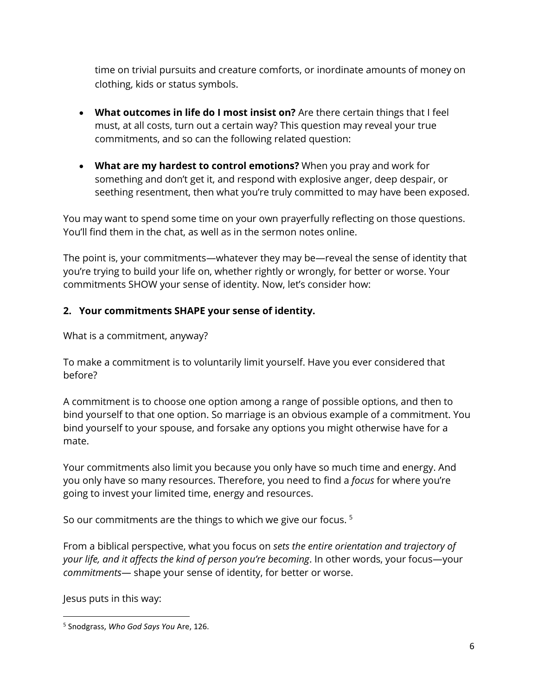time on trivial pursuits and creature comforts, or inordinate amounts of money on clothing, kids or status symbols.

- **What outcomes in life do I most insist on?** Are there certain things that I feel must, at all costs, turn out a certain way? This question may reveal your true commitments, and so can the following related question:
- **What are my hardest to control emotions?** When you pray and work for something and don't get it, and respond with explosive anger, deep despair, or seething resentment, then what you're truly committed to may have been exposed.

You may want to spend some time on your own prayerfully reflecting on those questions. You'll find them in the chat, as well as in the sermon notes online.

The point is, your commitments—whatever they may be—reveal the sense of identity that you're trying to build your life on, whether rightly or wrongly, for better or worse. Your commitments SHOW your sense of identity. Now, let's consider how:

## **2. Your commitments SHAPE your sense of identity.**

What is a commitment, anyway?

To make a commitment is to voluntarily limit yourself. Have you ever considered that before?

A commitment is to choose one option among a range of possible options, and then to bind yourself to that one option. So marriage is an obvious example of a commitment. You bind yourself to your spouse, and forsake any options you might otherwise have for a mate.

Your commitments also limit you because you only have so much time and energy. And you only have so many resources. Therefore, you need to find a *focus* for where you're going to invest your limited time, energy and resources.

So our commitments are the things to which we give our focus.<sup>5</sup>

From a biblical perspective, what you focus on *sets the entire orientation and trajectory of your life, and it affects the kind of person you're becoming*. In other words, your focus—your *commitments*— shape your sense of identity, for better or worse.

Jesus puts in this way:

<sup>5</sup> Snodgrass, *Who God Says You* Are, 126.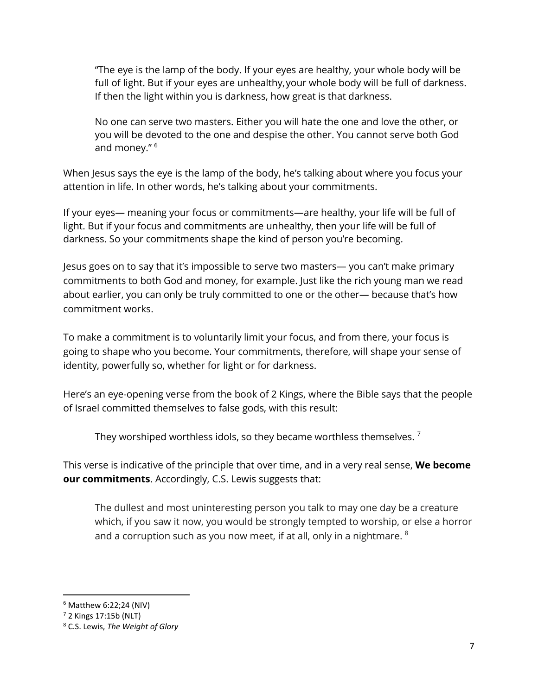"The eye is the lamp of the body. If your eyes are healthy, your whole body will be full of light. But if your eyes are unhealthy,your whole body will be full of darkness. If then the light within you is darkness, how great is that darkness.

No one can serve two masters. Either you will hate the one and love the other, or you will be devoted to the one and despise the other. You cannot serve both God and money." <sup>6</sup>

When Jesus says the eye is the lamp of the body, he's talking about where you focus your attention in life. In other words, he's talking about your commitments.

If your eyes— meaning your focus or commitments—are healthy, your life will be full of light. But if your focus and commitments are unhealthy, then your life will be full of darkness. So your commitments shape the kind of person you're becoming.

Jesus goes on to say that it's impossible to serve two masters— you can't make primary commitments to both God and money, for example. Just like the rich young man we read about earlier, you can only be truly committed to one or the other— because that's how commitment works.

To make a commitment is to voluntarily limit your focus, and from there, your focus is going to shape who you become. Your commitments, therefore, will shape your sense of identity, powerfully so, whether for light or for darkness.

Here's an eye-opening verse from the book of 2 Kings, where the Bible says that the people of Israel committed themselves to false gods, with this result:

They worshiped worthless idols, so they became worthless themselves.<sup>7</sup>

This verse is indicative of the principle that over time, and in a very real sense, **We become our commitments**. Accordingly, C.S. Lewis suggests that:

The dullest and most uninteresting person you talk to may one day be a creature which, if you saw it now, you would be strongly tempted to worship, or else a horror and a corruption such as you now meet, if at all, only in a nightmare.  $8$ 

<sup>6</sup> Matthew 6:22;24 (NIV)

 $<sup>7</sup>$  2 Kings 17:15b (NLT)</sup>

<sup>8</sup> C.S. Lewis, *The Weight of Glory*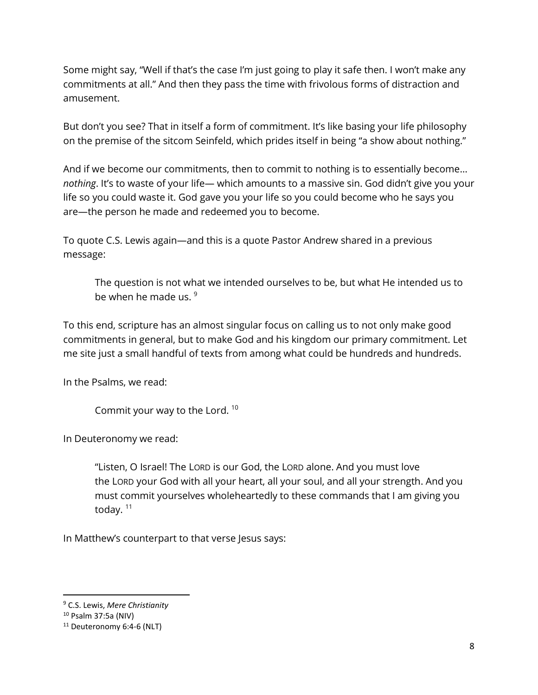Some might say, "Well if that's the case I'm just going to play it safe then. I won't make any commitments at all." And then they pass the time with frivolous forms of distraction and amusement.

But don't you see? That in itself a form of commitment. It's like basing your life philosophy on the premise of the sitcom Seinfeld, which prides itself in being "a show about nothing."

And if we become our commitments, then to commit to nothing is to essentially become… *nothing*. It's to waste of your life— which amounts to a massive sin. God didn't give you your life so you could waste it. God gave you your life so you could become who he says you are—the person he made and redeemed you to become.

To quote C.S. Lewis again—and this is a quote Pastor Andrew shared in a previous message:

The question is not what we intended ourselves to be, but what He intended us to be when he made us. <sup>9</sup>

To this end, scripture has an almost singular focus on calling us to not only make good commitments in general, but to make God and his kingdom our primary commitment. Let me site just a small handful of texts from among what could be hundreds and hundreds.

In the Psalms, we read:

Commit your way to the Lord. <sup>10</sup>

In Deuteronomy we read:

"Listen, O Israel! The LORD is our God, the LORD alone. And you must love the LORD your God with all your heart, all your soul, and all your strength. And you must commit yourselves wholeheartedly to these commands that I am giving you today.<sup>11</sup>

In Matthew's counterpart to that verse Jesus says:

<sup>9</sup> C.S. Lewis, *Mere Christianity*

<sup>10</sup> Psalm 37:5a (NIV)

<sup>&</sup>lt;sup>11</sup> Deuteronomy 6:4-6 (NLT)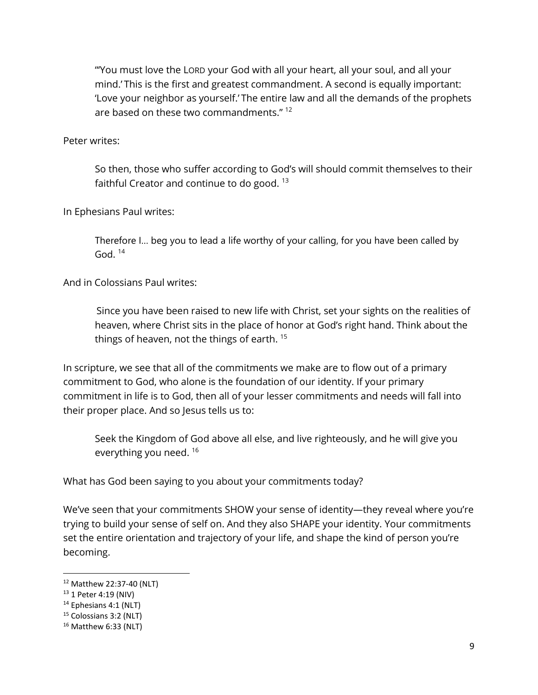"'You must love the LORD your God with all your heart, all your soul, and all your mind.' This is the first and greatest commandment. A second is equally important: 'Love your neighbor as yourself.' The entire law and all the demands of the prophets are based on these two commandments." <sup>12</sup>

Peter writes:

So then, those who suffer according to God's will should commit themselves to their faithful Creator and continue to do good. <sup>13</sup>

In Ephesians Paul writes:

Therefore I… beg you to lead a life worthy of your calling, for you have been called by God.  $^{14}$ 

And in Colossians Paul writes:

Since you have been raised to new life with Christ, set your sights on the realities of heaven, where Christ sits in the place of honor at God's right hand. Think about the things of heaven, not the things of earth. 15

In scripture, we see that all of the commitments we make are to flow out of a primary commitment to God, who alone is the foundation of our identity. If your primary commitment in life is to God, then all of your lesser commitments and needs will fall into their proper place. And so Jesus tells us to:

Seek the Kingdom of God above all else, and live righteously, and he will give you everything you need. 16

What has God been saying to you about your commitments today?

We've seen that your commitments SHOW your sense of identity—they reveal where you're trying to build your sense of self on. And they also SHAPE your identity. Your commitments set the entire orientation and trajectory of your life, and shape the kind of person you're becoming.

l

<sup>12</sup> Matthew 22:37-40 (NLT)

<sup>13</sup> 1 Peter 4:19 (NIV)

<sup>14</sup> Ephesians 4:1 (NLT)

<sup>&</sup>lt;sup>15</sup> Colossians 3:2 (NLT)

<sup>16</sup> Matthew 6:33 (NLT)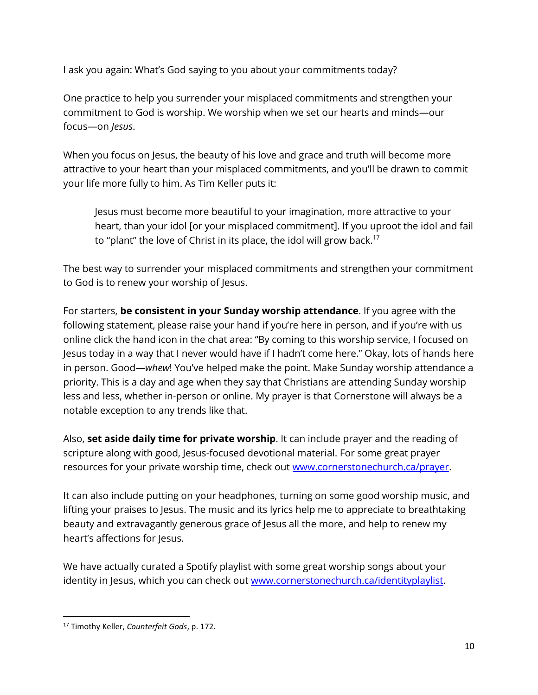I ask you again: What's God saying to you about your commitments today?

One practice to help you surrender your misplaced commitments and strengthen your commitment to God is worship. We worship when we set our hearts and minds—our focus—on *Jesus*.

When you focus on Jesus, the beauty of his love and grace and truth will become more attractive to your heart than your misplaced commitments, and you'll be drawn to commit your life more fully to him. As Tim Keller puts it:

Jesus must become more beautiful to your imagination, more attractive to your heart, than your idol [or your misplaced commitment]. If you uproot the idol and fail to "plant" the love of Christ in its place, the idol will grow back.<sup>17</sup>

The best way to surrender your misplaced commitments and strengthen your commitment to God is to renew your worship of Jesus.

For starters, **be consistent in your Sunday worship attendance**. If you agree with the following statement, please raise your hand if you're here in person, and if you're with us online click the hand icon in the chat area: "By coming to this worship service, I focused on Jesus today in a way that I never would have if I hadn't come here." Okay, lots of hands here in person. Good—*whew*! You've helped make the point. Make Sunday worship attendance a priority. This is a day and age when they say that Christians are attending Sunday worship less and less, whether in-person or online. My prayer is that Cornerstone will always be a notable exception to any trends like that.

Also, **set aside daily time for private worship**. It can include prayer and the reading of scripture along with good, Jesus-focused devotional material. For some great prayer resources for your private worship time, check out [www.cornerstonechurch.ca/prayer.](http://www.cornerstonechurch.ca/prayer)

It can also include putting on your headphones, turning on some good worship music, and lifting your praises to Jesus. The music and its lyrics help me to appreciate to breathtaking beauty and extravagantly generous grace of Jesus all the more, and help to renew my heart's affections for Jesus.

We have actually curated a Spotify playlist with some great worship songs about your identity in Jesus, which you can check out [www.cornerstonechurch.ca/identityplaylist.](http://www.cornerstonechurch.ca/identityplaylist)

 $\overline{\phantom{a}}$ <sup>17</sup> Timothy Keller, *Counterfeit Gods*, p. 172.